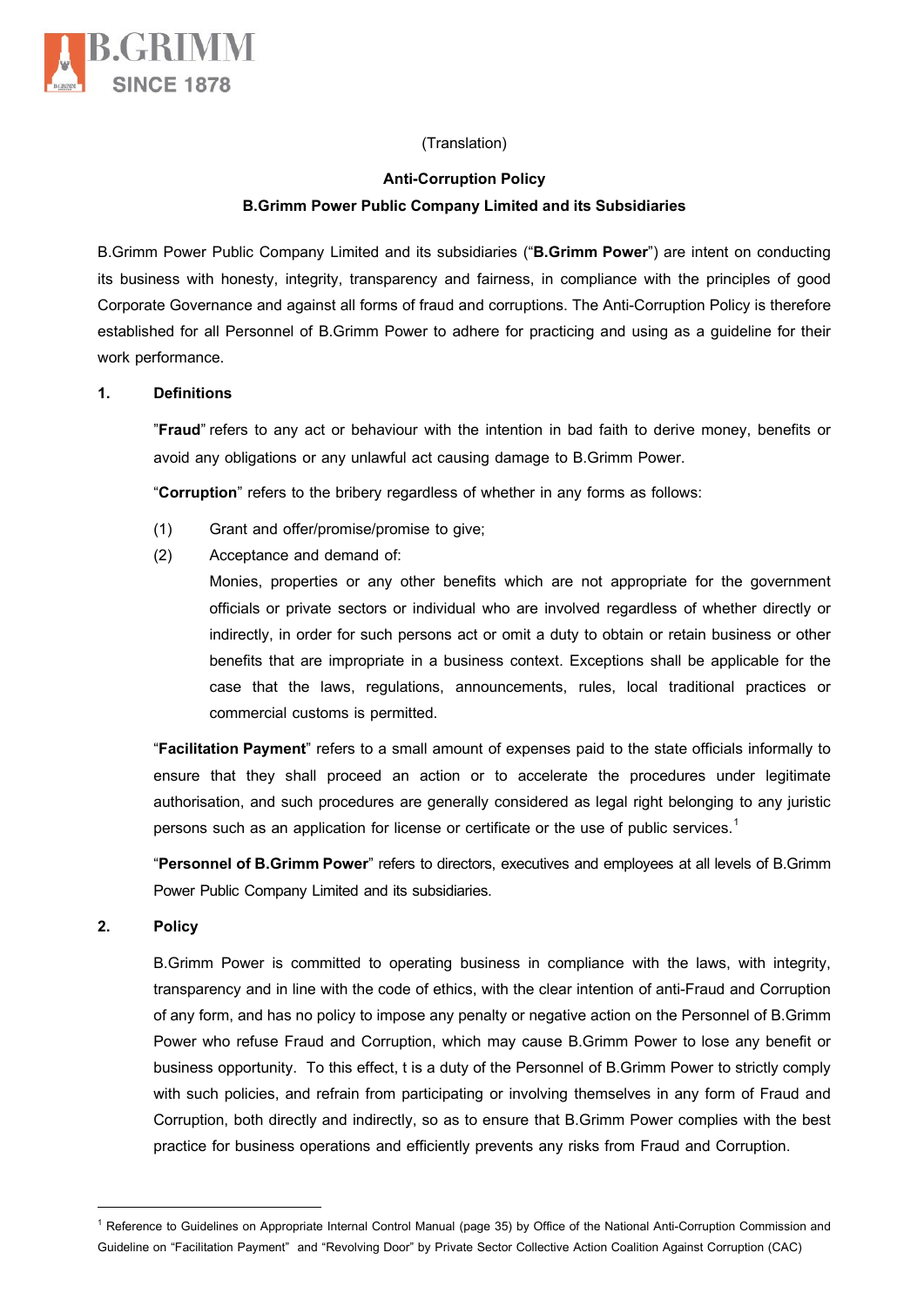

# (Translation)

#### **Anti-Corruption Policy**

## **B.Grimm Power Public Company Limited and its Subsidiaries**

B.Grimm Power Public Company Limited and its subsidiaries ("**B.Grimm Power**") are intent on conducting its business with honesty, integrity, transparency and fairness, in compliance with the principles of good Corporate Governance and against all forms of fraud and corruptions. The Anti-Corruption Policy is therefore established for all Personnel of B.Grimm Power to adhere for practicing and using as a guideline for their work performance.

#### **1. Definitions**

"**Fraud**" refers to any act or behaviour with the intention in bad faith to derive money, benefits or avoid any obligations or any unlawful act causing damage to B.Grimm Power.

"**Corruption**" refers to the bribery regardless of whether in any forms as follows:

- (1) Grant and offer/promise/promise to give;
- (2) Acceptance and demand of:

Monies, properties or any other benefits which are not appropriate for the government officials or private sectors or individual who are involved regardless of whether directly or indirectly, in order for such persons act or omit a duty to obtain or retain business or other benefits that are impropriate in a business context. Exceptions shall be applicable for the case that the laws, regulations, announcements, rules, local traditional practices or commercial customs is permitted.

"**Facilitation Payment**" refers to a small amount of expenses paid to the state officials informally to ensure that they shall proceed an action or to accelerate the procedures under legitimate authorisation, and such procedures are generally considered as legal right belonging to any juristic persons such as an application for license or certificate or the use of public services.<sup>[1](#page-0-0)</sup>

"**Personnel of B.Grimm Power**" refers to directors, executives and employees at all levels of B.Grimm Power Public Company Limited and its subsidiaries.

## **2. Policy**

B.Grimm Power is committed to operating business in compliance with the laws, with integrity, transparency and in line with the code of ethics, with the clear intention of anti-Fraud and Corruption of any form, and has no policy to impose any penalty or negative action on the Personnel of B.Grimm Power who refuse Fraud and Corruption, which may cause B.Grimm Power to lose any benefit or business opportunity. To this effect, t is a duty of the Personnel of B.Grimm Power to strictly comply with such policies, and refrain from participating or involving themselves in any form of Fraud and Corruption, both directly and indirectly, so as to ensure that B.Grimm Power complies with the best practice for business operations and efficiently prevents any risks from Fraud and Corruption.

<span id="page-0-0"></span><sup>&</sup>lt;sup>1</sup> Reference to Guidelines on Appropriate Internal Control Manual (page 35) by Office of the National Anti-Corruption Commission and Guideline on "Facilitation Payment" and "Revolving Door" by Private Sector Collective Action Coalition Against Corruption (CAC)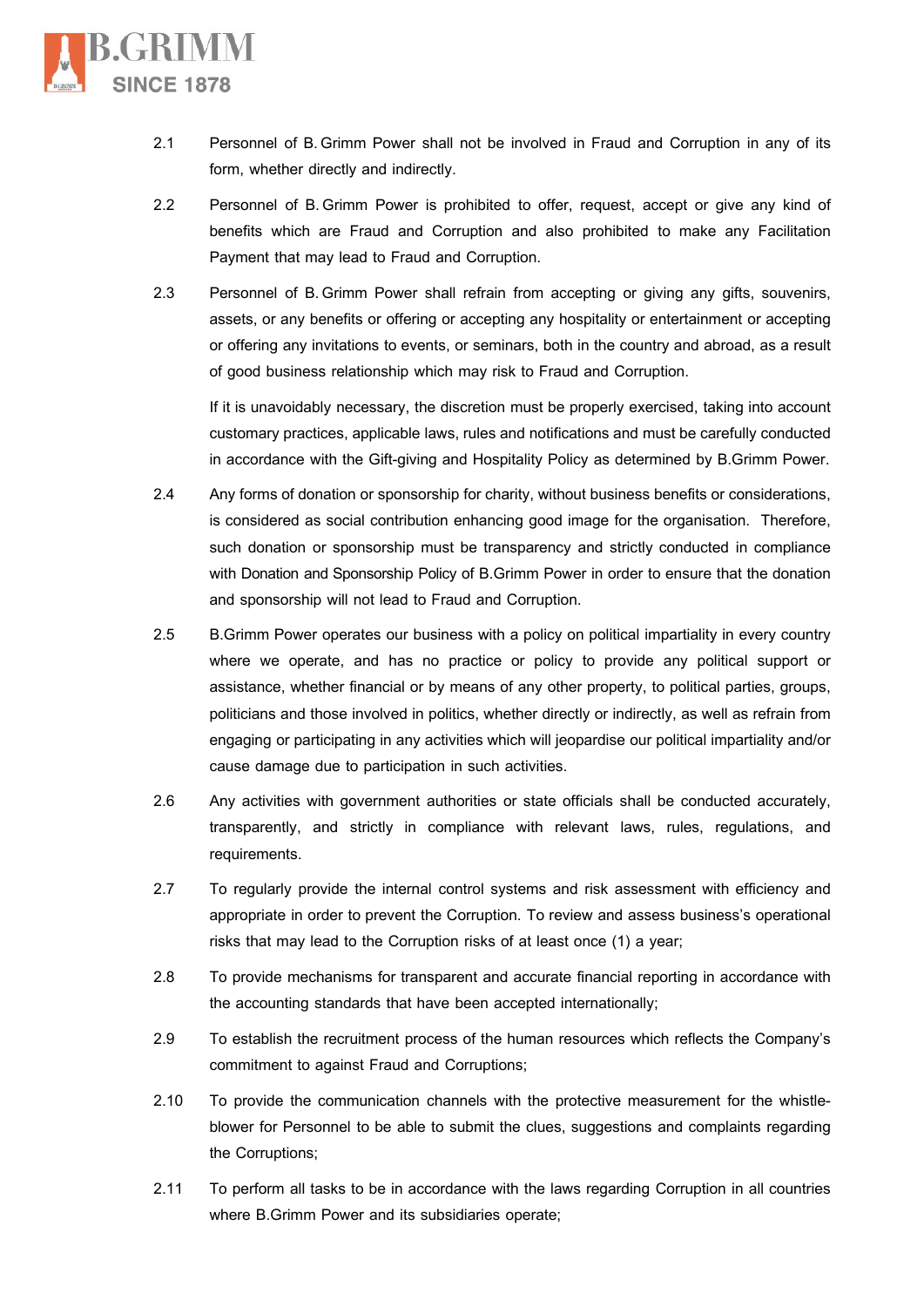

- 2.1 Personnel of B.Grimm Power shall not be involved in Fraud and Corruption in any of its form, whether directly and indirectly.
- 2.2 Personnel of B.Grimm Power is prohibited to offer, request, accept or give any kind of benefits which are Fraud and Corruption and also prohibited to make any Facilitation Payment that may lead to Fraud and Corruption.
- 2.3 Personnel of B.Grimm Power shall refrain from accepting or giving any gifts, souvenirs, assets, or any benefits or offering or accepting any hospitality or entertainment or accepting or offering any invitations to events, or seminars, both in the country and abroad, as a result of good business relationship which may risk to Fraud and Corruption.

If it is unavoidably necessary, the discretion must be properly exercised, taking into account customary practices, applicable laws, rules and notificationsand must be carefully conducted in accordance with the Gift-giving and Hospitality Policy as determined by B.Grimm Power.

- 2.4 Any forms of donation or sponsorship for charity, without business benefits or considerations, is considered as social contribution enhancing good image for the organisation. Therefore, such donation or sponsorship must be transparency and strictly conducted in compliance with Donation and Sponsorship Policy of B.Grimm Power in order to ensure that the donation and sponsorship will not lead to Fraud and Corruption.
- 2.5 B.Grimm Power operates our business with a policy on political impartiality in every country where we operate, and has no practice or policy to provide any political support or assistance, whether financial or by means of any other property, to political parties, groups, politicians and those involved in politics, whether directly or indirectly, as well as refrain from engaging or participating in any activities which will jeopardise our political impartiality and/or cause damage due to participation in such activities.
- 2.6 Any activities with government authorities or state officials shall be conducted accurately, transparently, and strictly in compliance with relevant laws, rules, regulations, and requirements.
- 2.7 To regularly provide the internal control systems and risk assessment with efficiency and appropriate in order to prevent the Corruption. To review and assess business's operational risks that may lead to the Corruption risks of at least once (1) a year;
- 2.8 To provide mechanisms for transparent and accurate financial reporting in accordance with the accounting standards that have been accepted internationally;
- 2.9 To establish the recruitment process of the human resources which reflects the Company's commitment to against Fraud and Corruptions;
- 2.10 To provide the communication channels with the protective measurement for the whistleblower for Personnel to be able to submit the clues, suggestions and complaints regarding the Corruptions;
- 2.11 To perform all tasks to be in accordance with the laws regarding Corruption in all countries where B.Grimm Power and its subsidiaries operate;